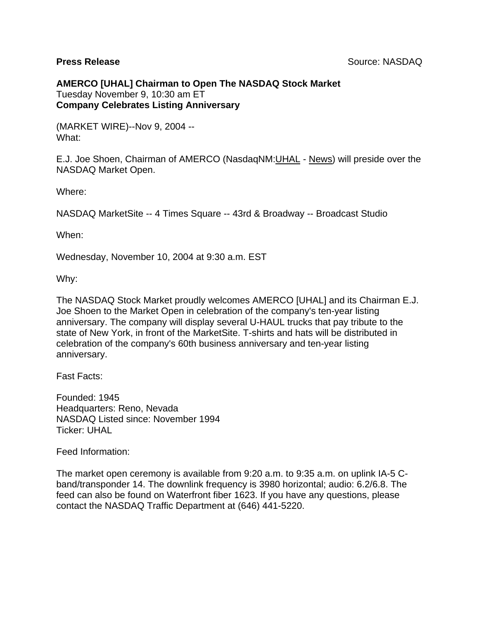**AMERCO [UHAL] Chairman to Open The NASDAQ Stock Market** Tuesday November 9, 10:30 am ET **Company Celebrates Listing Anniversary**

(MARKET WIRE)--Nov 9, 2004 -- What:

E.J. Joe Shoen, Chairman of AMERCO (NasdaqNM[:UHAL](http://finance.yahoo.com/q?s=uhal) - [News\)](http://finance.yahoo.com/q/h?s=uhal) will preside over the NASDAQ Market Open.

Where:

NASDAQ MarketSite -- 4 Times Square -- 43rd & Broadway -- Broadcast Studio

When:

Wednesday, November 10, 2004 at 9:30 a.m. EST

Why:

The NASDAQ Stock Market proudly welcomes AMERCO [UHAL] and its Chairman E.J. Joe Shoen to the Market Open in celebration of the company's ten-year listing anniversary. The company will display several U-HAUL trucks that pay tribute to the state of New York, in front of the MarketSite. T-shirts and hats will be distributed in celebration of the company's 60th business anniversary and ten-year listing anniversary.

Fast Facts:

Founded: 1945 Headquarters: Reno, Nevada NASDAQ Listed since: November 1994 Ticker: UHAL

Feed Information:

The market open ceremony is available from 9:20 a.m. to 9:35 a.m. on uplink IA-5 Cband/transponder 14. The downlink frequency is 3980 horizontal; audio: 6.2/6.8. The feed can also be found on Waterfront fiber 1623. If you have any questions, please contact the NASDAQ Traffic Department at (646) 441-5220.